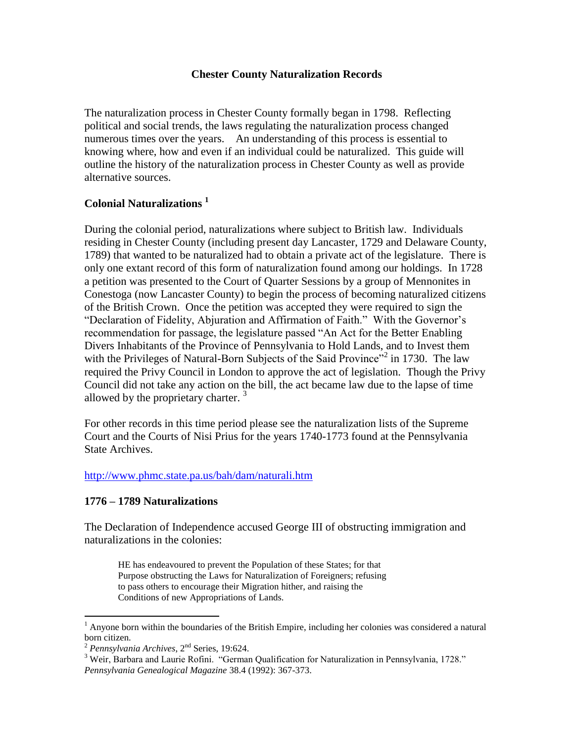### **Chester County Naturalization Records**

The naturalization process in Chester County formally began in 1798. Reflecting political and social trends, the laws regulating the naturalization process changed numerous times over the years. An understanding of this process is essential to knowing where, how and even if an individual could be naturalized. This guide will outline the history of the naturalization process in Chester County as well as provide alternative sources.

## **Colonial Naturalizations <sup>1</sup>**

During the colonial period, naturalizations where subject to British law. Individuals residing in Chester County (including present day Lancaster, 1729 and Delaware County, 1789) that wanted to be naturalized had to obtain a private act of the legislature. There is only one extant record of this form of naturalization found among our holdings. In 1728 a petition was presented to the Court of Quarter Sessions by a group of Mennonites in Conestoga (now Lancaster County) to begin the process of becoming naturalized citizens of the British Crown. Once the petition was accepted they were required to sign the "Declaration of Fidelity, Abjuration and Affirmation of Faith." With the Governor's recommendation for passage, the legislature passed "An Act for the Better Enabling Divers Inhabitants of the Province of Pennsylvania to Hold Lands, and to Invest them with the Privileges of Natural-Born Subjects of the Said Province<sup> $2$ </sup> in 1730. The law required the Privy Council in London to approve the act of legislation. Though the Privy Council did not take any action on the bill, the act became law due to the lapse of time allowed by the proprietary charter.  $3$ 

For other records in this time period please see the naturalization lists of the Supreme Court and the Courts of Nisi Prius for the years 1740-1773 found at the Pennsylvania State Archives.

<http://www.phmc.state.pa.us/bah/dam/naturali.htm>

### **1776 – 1789 Naturalizations**

The Declaration of Independence accused George III of obstructing immigration and naturalizations in the colonies:

HE has endeavoured to prevent the Population of these States; for that Purpose obstructing the Laws for Naturalization of Foreigners; refusing to pass others to encourage their Migration hither, and raising the Conditions of new Appropriations of Lands.

 $<sup>1</sup>$  Anyone born within the boundaries of the British Empire, including her colonies was considered a natural</sup> born citizen.

<sup>2</sup> *Pennsylvania Archives*, 2nd Series, 19:624.

<sup>&</sup>lt;sup>3</sup> Weir, Barbara and Laurie Rofini. "German Qualification for Naturalization in Pennsylvania, 1728." *Pennsylvania Genealogical Magazine* 38.4 (1992): 367-373.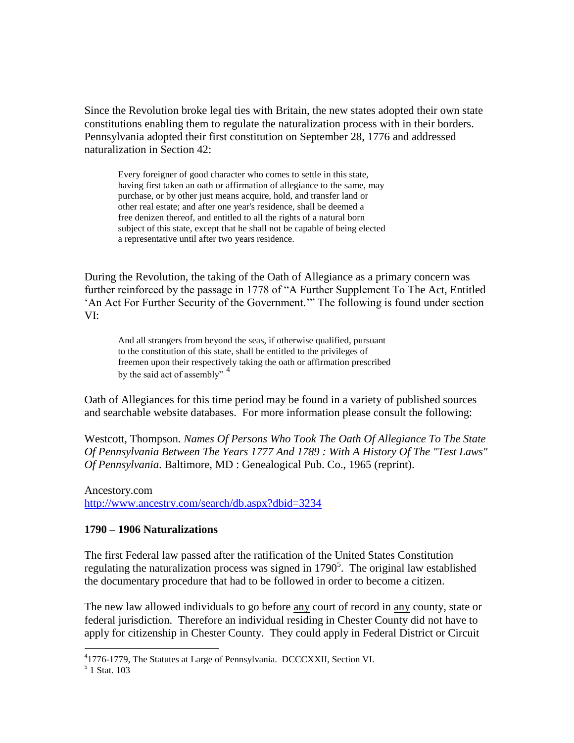Since the Revolution broke legal ties with Britain, the new states adopted their own state constitutions enabling them to regulate the naturalization process with in their borders. Pennsylvania adopted their first constitution on September 28, 1776 and addressed naturalization in Section 42:

Every foreigner of good character who comes to settle in this state, having first taken an oath or affirmation of allegiance to the same, may purchase, or by other just means acquire, hold, and transfer land or other real estate; and after one year's residence, shall be deemed a free denizen thereof, and entitled to all the rights of a natural born subject of this state, except that he shall not be capable of being elected a representative until after two years residence.

During the Revolution, the taking of the Oath of Allegiance as a primary concern was further reinforced by the passage in 1778 of "A Further Supplement To The Act, Entitled 'An Act For Further Security of the Government.'" The following is found under section VI:

And all strangers from beyond the seas, if otherwise qualified, pursuant to the constitution of this state, shall be entitled to the privileges of freemen upon their respectively taking the oath or affirmation prescribed by the said act of assembly" <sup>4</sup>

Oath of Allegiances for this time period may be found in a variety of published sources and searchable website databases. For more information please consult the following:

Westcott, Thompson. *Names Of Persons Who Took The Oath Of Allegiance To The State Of Pennsylvania Between The Years 1777 And 1789 : With A History Of The "Test Laws" Of Pennsylvania*. Baltimore, MD : Genealogical Pub. Co., 1965 (reprint).

Ancestory.com <http://www.ancestry.com/search/db.aspx?dbid=3234>

### **1790 – 1906 Naturalizations**

The first Federal law passed after the ratification of the United States Constitution regulating the naturalization process was signed in  $1790<sup>5</sup>$ . The original law established the documentary procedure that had to be followed in order to become a citizen.

The new law allowed individuals to go before <u>any</u> court of record in <u>any</u> county, state or federal jurisdiction. Therefore an individual residing in Chester County did not have to apply for citizenship in Chester County. They could apply in Federal District or Circuit

<sup>&</sup>lt;sup>4</sup>1776-1779, The Statutes at Large of Pennsylvania. DCCCXXII, Section VI.

<sup>5</sup> 1 Stat. 103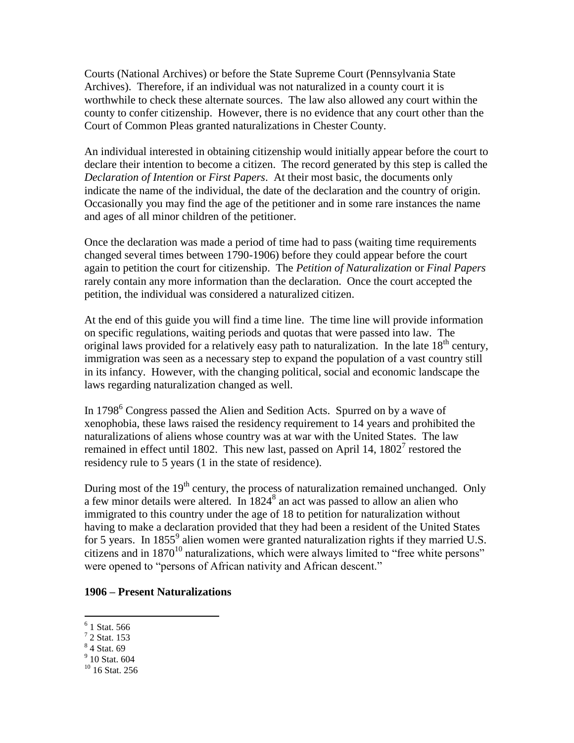Courts (National Archives) or before the State Supreme Court (Pennsylvania State Archives). Therefore, if an individual was not naturalized in a county court it is worthwhile to check these alternate sources. The law also allowed any court within the county to confer citizenship. However, there is no evidence that any court other than the Court of Common Pleas granted naturalizations in Chester County.

An individual interested in obtaining citizenship would initially appear before the court to declare their intention to become a citizen. The record generated by this step is called the *Declaration of Intention* or *First Papers*. At their most basic, the documents only indicate the name of the individual, the date of the declaration and the country of origin. Occasionally you may find the age of the petitioner and in some rare instances the name and ages of all minor children of the petitioner.

Once the declaration was made a period of time had to pass (waiting time requirements changed several times between 1790-1906) before they could appear before the court again to petition the court for citizenship. The *Petition of Naturalization* or *Final Papers* rarely contain any more information than the declaration. Once the court accepted the petition, the individual was considered a naturalized citizen.

At the end of this guide you will find a time line. The time line will provide information on specific regulations, waiting periods and quotas that were passed into law. The original laws provided for a relatively easy path to naturalization. In the late  $18<sup>th</sup>$  century, immigration was seen as a necessary step to expand the population of a vast country still in its infancy. However, with the changing political, social and economic landscape the laws regarding naturalization changed as well.

In  $1798^6$  Congress passed the Alien and Sedition Acts. Spurred on by a wave of xenophobia, these laws raised the residency requirement to 14 years and prohibited the naturalizations of aliens whose country was at war with the United States. The law remained in effect until 1802. This new last, passed on April 14,  $1802<sup>7</sup>$  restored the residency rule to 5 years (1 in the state of residence).

During most of the  $19<sup>th</sup>$  century, the process of naturalization remained unchanged. Only a few minor details were altered. In  $1824<sup>8</sup>$  an act was passed to allow an alien who immigrated to this country under the age of 18 to petition for naturalization without having to make a declaration provided that they had been a resident of the United States for 5 years. In  $1855^9$  alien women were granted naturalization rights if they married U.S. citizens and in  $1870^{10}$  naturalizations, which were always limited to "free white persons" were opened to "persons of African nativity and African descent."

#### **1906 – Present Naturalizations**

 6 1 Stat. 566

 $<sup>7</sup>$  2 Stat. 153</sup>

<sup>8</sup> 4 Stat. 69

<sup>&</sup>lt;sup>9</sup> 10 Stat. 604

 $10$  16 Stat. 256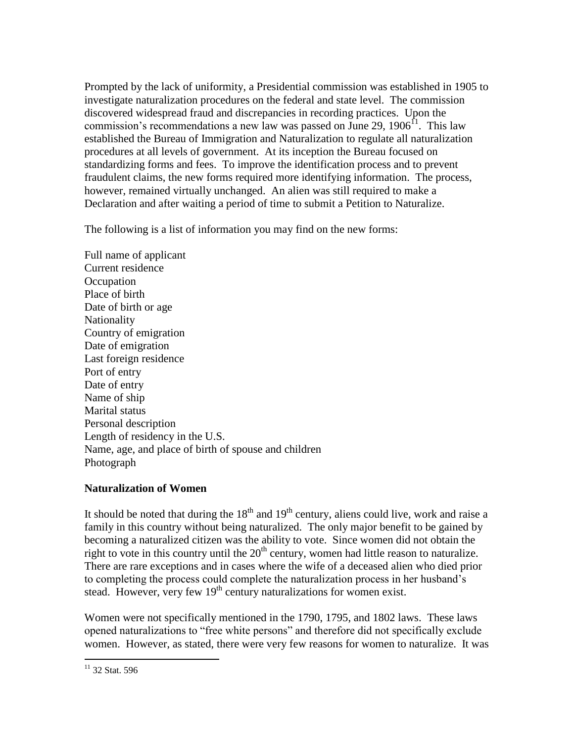Prompted by the lack of uniformity, a Presidential commission was established in 1905 to investigate naturalization procedures on the federal and state level. The commission discovered widespread fraud and discrepancies in recording practices. Upon the commission's recommendations a new law was passed on June 29,  $1906<sup>11</sup>$ . This law established the Bureau of Immigration and Naturalization to regulate all naturalization procedures at all levels of government. At its inception the Bureau focused on standardizing forms and fees. To improve the identification process and to prevent fraudulent claims, the new forms required more identifying information. The process, however, remained virtually unchanged. An alien was still required to make a Declaration and after waiting a period of time to submit a Petition to Naturalize.

The following is a list of information you may find on the new forms:

Full name of applicant Current residence **Occupation** Place of birth Date of birth or age **Nationality** Country of emigration Date of emigration Last foreign residence Port of entry Date of entry Name of ship Marital status Personal description Length of residency in the U.S. Name, age, and place of birth of spouse and children Photograph

# **Naturalization of Women**

It should be noted that during the  $18<sup>th</sup>$  and  $19<sup>th</sup>$  century, aliens could live, work and raise a family in this country without being naturalized. The only major benefit to be gained by becoming a naturalized citizen was the ability to vote. Since women did not obtain the right to vote in this country until the  $20<sup>th</sup>$  century, women had little reason to naturalize. There are rare exceptions and in cases where the wife of a deceased alien who died prior to completing the process could complete the naturalization process in her husband's stead. However, very few  $19<sup>th</sup>$  century naturalizations for women exist.

Women were not specifically mentioned in the 1790, 1795, and 1802 laws. These laws opened naturalizations to "free white persons" and therefore did not specifically exclude women. However, as stated, there were very few reasons for women to naturalize. It was

 $11$  32 Stat. 596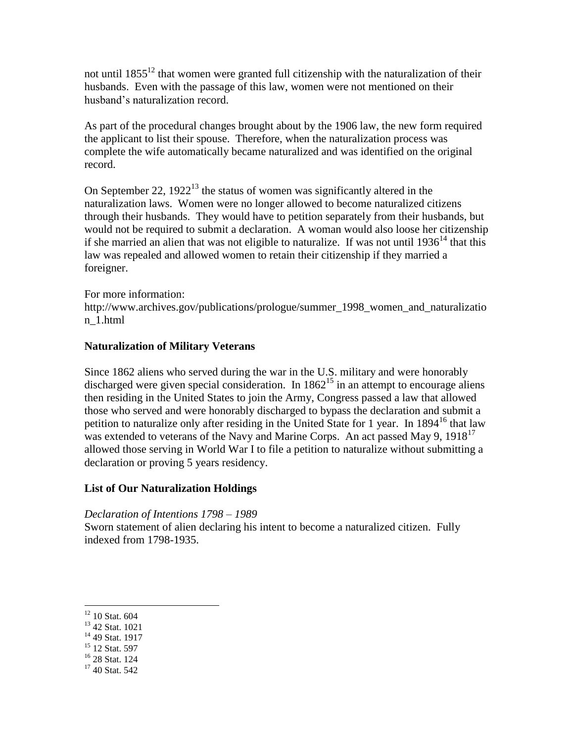not until  $1855^{12}$  that women were granted full citizenship with the naturalization of their husbands. Even with the passage of this law, women were not mentioned on their husband's naturalization record.

As part of the procedural changes brought about by the 1906 law, the new form required the applicant to list their spouse. Therefore, when the naturalization process was complete the wife automatically became naturalized and was identified on the original record.

On September 22,  $1922^{13}$  the status of women was significantly altered in the naturalization laws. Women were no longer allowed to become naturalized citizens through their husbands. They would have to petition separately from their husbands, but would not be required to submit a declaration. A woman would also loose her citizenship if she married an alien that was not eligible to naturalize. If was not until  $1936<sup>14</sup>$  that this law was repealed and allowed women to retain their citizenship if they married a foreigner.

For more information:

http://www.archives.gov/publications/prologue/summer\_1998\_women\_and\_naturalizatio n\_1.html

## **Naturalization of Military Veterans**

Since 1862 aliens who served during the war in the U.S. military and were honorably discharged were given special consideration. In  $1862^{15}$  in an attempt to encourage aliens then residing in the United States to join the Army, Congress passed a law that allowed those who served and were honorably discharged to bypass the declaration and submit a petition to naturalize only after residing in the United State for 1 year. In 1894<sup>16</sup> that law was extended to veterans of the Navy and Marine Corps. An act passed May 9, 1918<sup>17</sup> allowed those serving in World War I to file a petition to naturalize without submitting a declaration or proving 5 years residency.

### **List of Our Naturalization Holdings**

*Declaration of Intentions 1798 – 1989*

Sworn statement of alien declaring his intent to become a naturalized citizen. Fully indexed from 1798-1935.

- <sup>15</sup> 12 Stat. 597
- <sup>16</sup> 28 Stat. 124

 $12$  10 Stat. 604

<sup>13</sup> 42 Stat. 1021

<sup>&</sup>lt;sup>14</sup> 49 Stat. 1917

<sup>&</sup>lt;sup>17</sup> 40 Stat. 542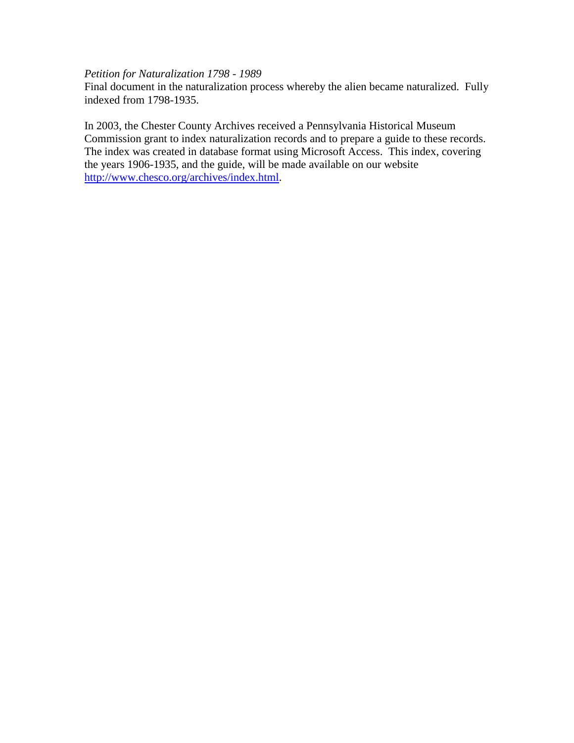### *Petition for Naturalization 1798 - 1989*

Final document in the naturalization process whereby the alien became naturalized. Fully indexed from 1798-1935.

In 2003, the Chester County Archives received a Pennsylvania Historical Museum Commission grant to index naturalization records and to prepare a guide to these records. The index was created in database format using Microsoft Access. This index, covering the years 1906-1935, and the guide, will be made available on our website [http://www.chesco.org/archives/index.html.](http://www.chesco.org/archives/index.html)